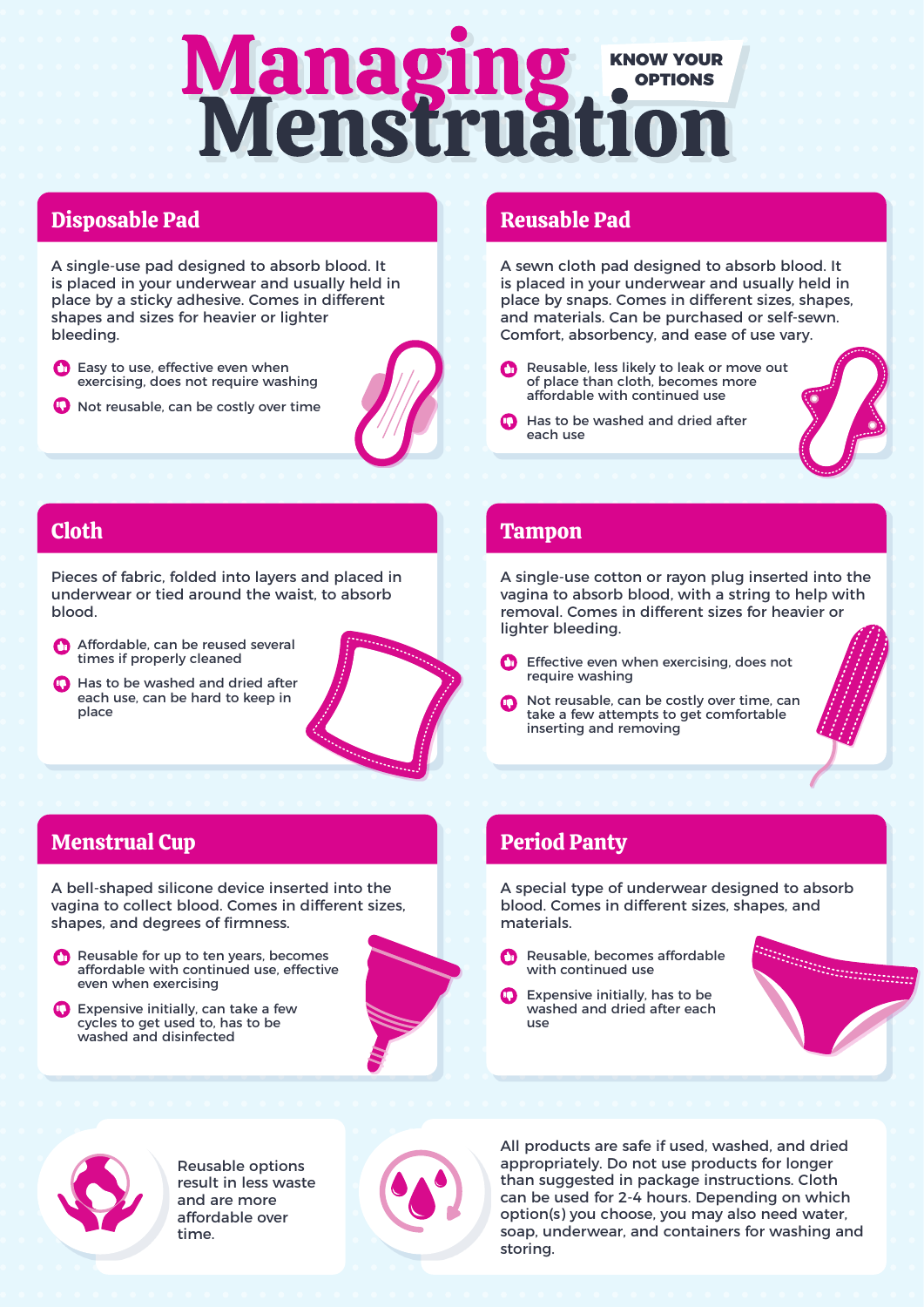# **Managing WOON YOUR**<br>Menstruation OPTIONS

### Disposable Pad

A single-use pad designed to absorb blood. It is placed in your underwear and usually held in place by a sticky adhesive. Comes in different shapes and sizes for heavier or lighter bleeding.

- **C** Easy to use, effective even when exercising, does not require washing
- **O** Not reusable, can be costly over time



#### Reusable Pad

A sewn cloth pad designed to absorb blood. It is placed in your underwear and usually held in place by snaps. Comes in different sizes, shapes, and materials. Can be purchased or self-sewn. Comfort, absorbency, and ease of use vary.

- Reusable, less likely to leak or move out of place than cloth, becomes more affordable with continued use
- **C** Has to be washed and dried after each use

#### Cloth

Pieces of fabric, folded into layers and placed in underwear or tied around the waist, to absorb blood.

- Affordable, can be reused several times if properly cleaned
- **C** Has to be washed and dried after each use, can be hard to keep in place

## Tampon

A single-use cotton or rayon plug inserted into the vagina to absorb blood, with a string to help with removal. Comes in different sizes for heavier or lighter bleeding.

- Effective even when exercising, does not Œ require washing
- Not reusable, can be costly over time, can take a few attempts to get comfortable inserting and removing

#### Menstrual Cup

A bell-shaped silicone device inserted into the vagina to collect blood. Comes in different sizes, shapes, and degrees of firmness.

Reusable for up to ten years, becomes affordable with continued use, effective even when exercising

**C** Expensive initially, can take a few cycles to get used to, has to be washed and disinfected



#### Period Panty

A special type of underwear designed to absorb blood. Comes in different sizes, shapes, and materials.

- Reusable, becomes affordable with continued use
- Expensive initially, has to be washed and dried after each use





Reusable options result in less waste and are more affordable over time.



All products are safe if used, washed, and dried appropriately. Do not use products for longer than suggested in package instructions. Cloth can be used for 2-4 hours. Depending on which option(s) you choose, you may also need water, soap, underwear, and containers for washing and storing.